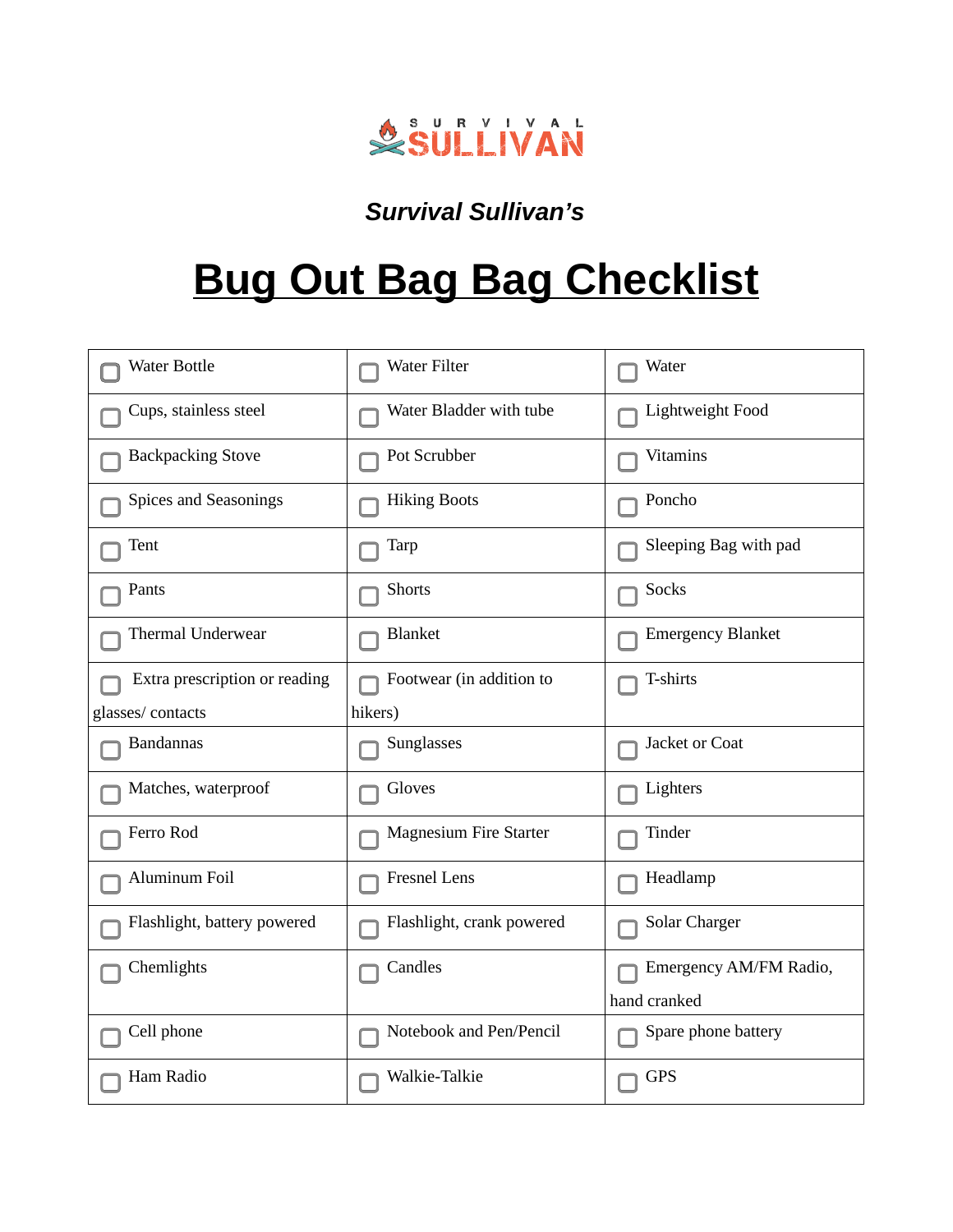

## *Survival Sullivan's*

## **Bug Out Bag Bag Checklist**

| <b>Water Bottle</b>           | <b>Water Filter</b>           | Water                    |
|-------------------------------|-------------------------------|--------------------------|
| Cups, stainless steel         | Water Bladder with tube       | Lightweight Food         |
| <b>Backpacking Stove</b>      | Pot Scrubber                  | Vitamins                 |
| Spices and Seasonings         | <b>Hiking Boots</b>           | Poncho                   |
| Tent                          | Tarp                          | Sleeping Bag with pad    |
| Pants                         | Shorts                        | Socks                    |
| Thermal Underwear             | <b>Blanket</b>                | <b>Emergency Blanket</b> |
| Extra prescription or reading | Footwear (in addition to      | T-shirts                 |
| glasses/contacts              | hikers)                       |                          |
| <b>Bandannas</b>              | Sunglasses                    | Jacket or Coat           |
| Matches, waterproof           | Gloves                        | Lighters                 |
| Ferro Rod                     | <b>Magnesium Fire Starter</b> | Tinder                   |
| Aluminum Foil                 | <b>Fresnel Lens</b>           | Headlamp                 |
| Flashlight, battery powered   | Flashlight, crank powered     | <b>Solar Charger</b>     |
| Chemlights                    | Candles                       | Emergency AM/FM Radio,   |
|                               |                               | hand cranked             |
| Cell phone                    | Notebook and Pen/Pencil       | Spare phone battery      |
| Ham Radio                     | Walkie-Talkie                 | <b>GPS</b>               |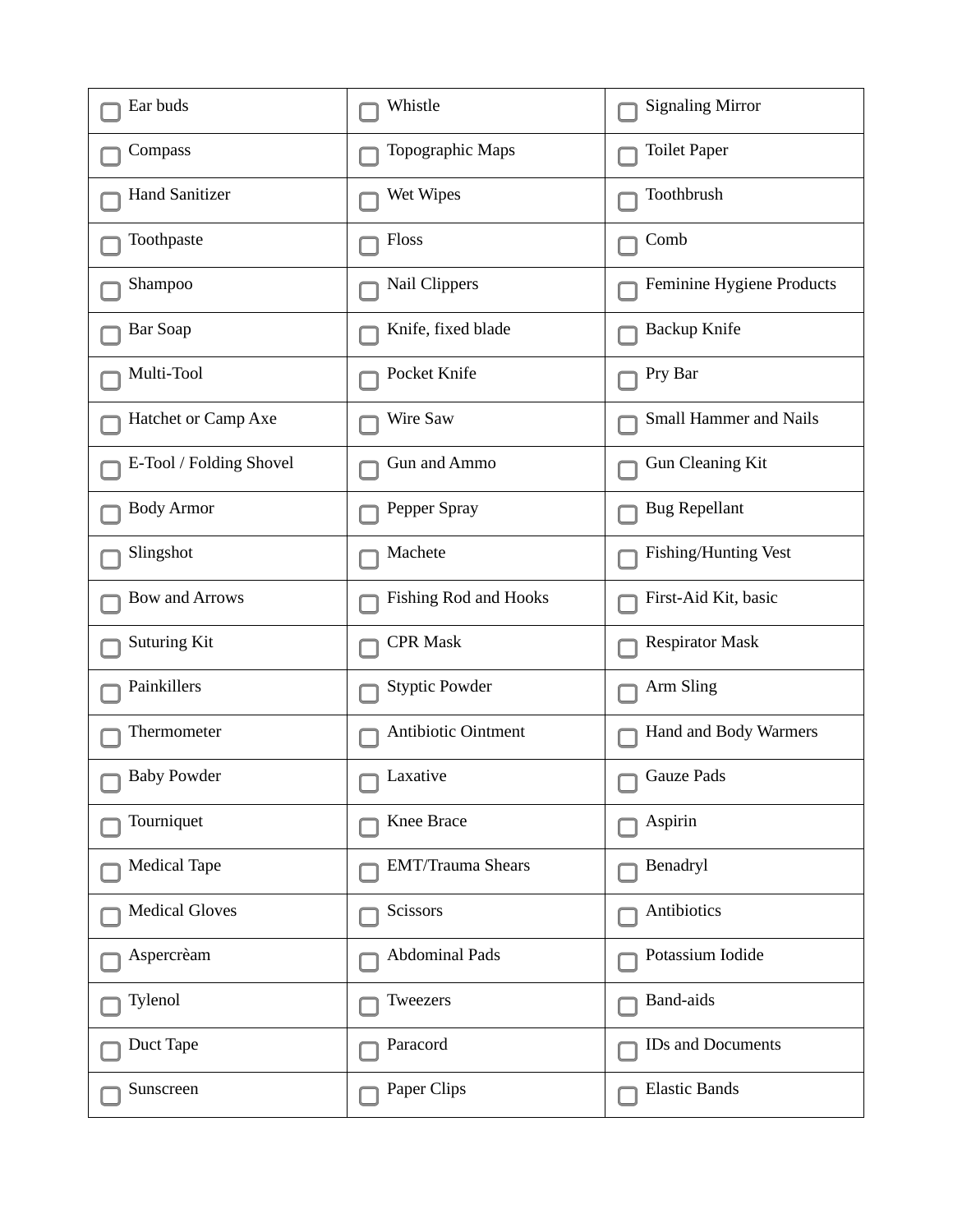| Ear buds                | Whistle                  | <b>Signaling Mirror</b>     |
|-------------------------|--------------------------|-----------------------------|
| Compass                 | Topographic Maps         | <b>Toilet Paper</b>         |
| <b>Hand Sanitizer</b>   | <b>Wet Wipes</b>         | Toothbrush                  |
| Toothpaste              | Floss                    | Comb                        |
| Shampoo                 | Nail Clippers            | Feminine Hygiene Products   |
| <b>Bar Soap</b>         | Knife, fixed blade       | Backup Knife                |
| Multi-Tool              | Pocket Knife             | Pry Bar                     |
| Hatchet or Camp Axe     | <b>Wire Saw</b>          | Small Hammer and Nails      |
| E-Tool / Folding Shovel | Gun and Ammo             | <b>Gun Cleaning Kit</b>     |
| <b>Body Armor</b>       | Pepper Spray             | <b>Bug Repellant</b>        |
| Slingshot               | Machete                  | <b>Fishing/Hunting Vest</b> |
| <b>Bow and Arrows</b>   | Fishing Rod and Hooks    | First-Aid Kit, basic        |
| Suturing Kit            | <b>CPR Mask</b>          | <b>Respirator Mask</b>      |
| Painkillers             | <b>Styptic Powder</b>    | Arm Sling                   |
| Thermometer             | Antibiotic Ointment      | Hand and Body Warmers       |
| <b>Baby Powder</b>      | Laxative                 | <b>Gauze Pads</b>           |
| Tourniquet              | Knee Brace               | Aspirin                     |
| <b>Medical Tape</b>     | <b>EMT/Trauma Shears</b> | Benadryl                    |
| <b>Medical Gloves</b>   | Scissors                 | Antibiotics                 |
| Aspercrèam              | <b>Abdominal Pads</b>    | Potassium Iodide            |
| Tylenol                 | Tweezers                 | Band-aids                   |
| Duct Tape               | Paracord                 | IDs and Documents           |
| Sunscreen               | Paper Clips              | <b>Elastic Bands</b>        |